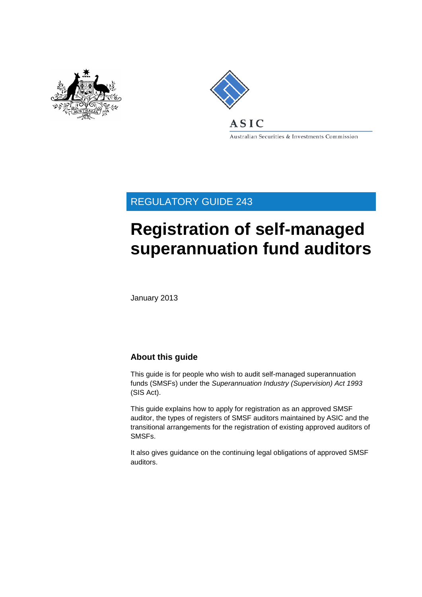



Australian Securities & Investments Commission

REGULATORY GUIDE 243

# **Registration of self-managed superannuation fund auditors**

January 2013

#### **About this guide**

This guide is for people who wish to audit self-managed superannuation funds (SMSFs) under the *Superannuation Industry (Supervision) Act 1993* (SIS Act).

This guide explains how to apply for registration as an approved SMSF auditor, the types of registers of SMSF auditors maintained by ASIC and the transitional arrangements for the registration of existing approved auditors of SMSFs.

It also gives guidance on the continuing legal obligations of approved SMSF auditors.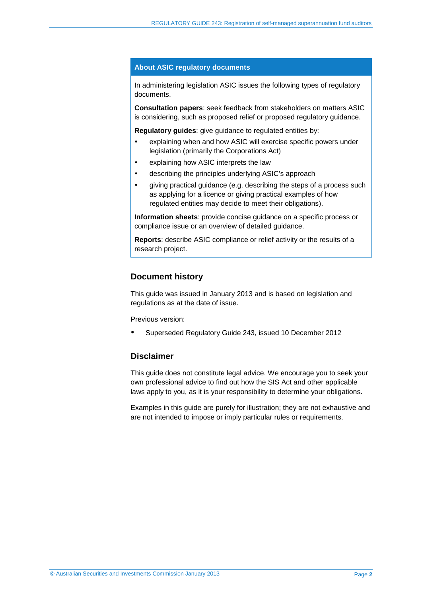#### **About ASIC regulatory documents**

In administering legislation ASIC issues the following types of regulatory documents.

**Consultation papers**: seek feedback from stakeholders on matters ASIC is considering, such as proposed relief or proposed regulatory guidance.

**Regulatory guides**: give guidance to regulated entities by:

- explaining when and how ASIC will exercise specific powers under legislation (primarily the Corporations Act)
- explaining how ASIC interprets the law
- describing the principles underlying ASIC's approach
- giving practical guidance (e.g. describing the steps of a process such as applying for a licence or giving practical examples of how regulated entities may decide to meet their obligations).

**Information sheets**: provide concise guidance on a specific process or compliance issue or an overview of detailed guidance.

**Reports**: describe ASIC compliance or relief activity or the results of a research project.

#### **Document history**

This guide was issued in January 2013 and is based on legislation and regulations as at the date of issue.

Previous version:

Superseded Regulatory Guide 243, issued 10 December 2012

#### **Disclaimer**

This guide does not constitute legal advice. We encourage you to seek your own professional advice to find out how the SIS Act and other applicable laws apply to you, as it is your responsibility to determine your obligations.

Examples in this guide are purely for illustration; they are not exhaustive and are not intended to impose or imply particular rules or requirements.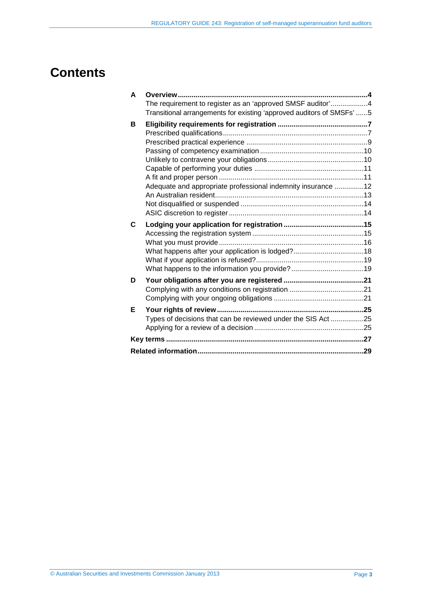## **Contents**

| A | <b>Overview</b>                                                                                                                     |  |
|---|-------------------------------------------------------------------------------------------------------------------------------------|--|
|   | The requirement to register as an 'approved SMSF auditor'4<br>Transitional arrangements for existing 'approved auditors of SMSFs' 5 |  |
| В |                                                                                                                                     |  |
|   |                                                                                                                                     |  |
|   |                                                                                                                                     |  |
|   |                                                                                                                                     |  |
|   |                                                                                                                                     |  |
|   |                                                                                                                                     |  |
|   |                                                                                                                                     |  |
|   | Adequate and appropriate professional indemnity insurance 12                                                                        |  |
|   |                                                                                                                                     |  |
|   |                                                                                                                                     |  |
|   |                                                                                                                                     |  |
| C |                                                                                                                                     |  |
|   |                                                                                                                                     |  |
|   |                                                                                                                                     |  |
|   |                                                                                                                                     |  |
|   |                                                                                                                                     |  |
|   |                                                                                                                                     |  |
| D |                                                                                                                                     |  |
|   |                                                                                                                                     |  |
|   |                                                                                                                                     |  |
| Е |                                                                                                                                     |  |
|   | Types of decisions that can be reviewed under the SIS Act 25                                                                        |  |
|   |                                                                                                                                     |  |
|   |                                                                                                                                     |  |
|   |                                                                                                                                     |  |
|   |                                                                                                                                     |  |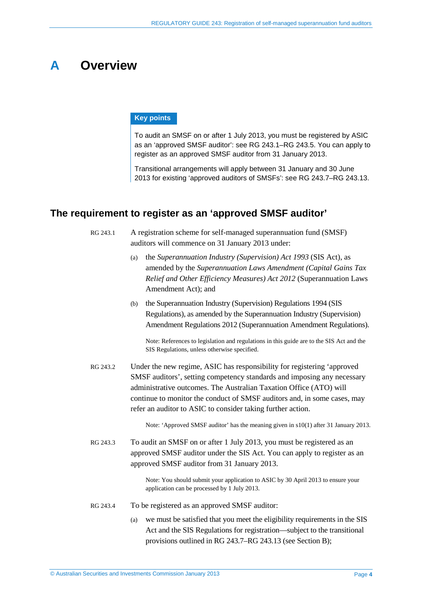### <span id="page-3-0"></span>**A Overview**

#### **Key points**

To audit an SMSF on or after 1 July 2013, you must be registered by ASIC as an 'approved SMSF auditor': see RG [243.1–](#page-3-2)RG [243.5.](#page-4-1) You can apply to register as an approved SMSF auditor from 31 January 2013.

Transitional arrangements will apply between 31 January and 30 June 2013 for existing 'approved auditors of SMSFs': see RG [243.7–](#page-4-2)RG [243.13.](#page-5-0)

#### <span id="page-3-2"></span><span id="page-3-1"></span>**The requirement to register as an 'approved SMSF auditor'**

RG 243.1 A registration scheme for self-managed superannuation fund (SMSF) auditors will commence on 31 January 2013 under:

- (a) the *Superannuation Industry (Supervision) Act 1993* (SIS Act), as amended by the *Superannuation Laws Amendment (Capital Gains Tax Relief and Other Efficiency Measures) Act 2012* (Superannuation Laws Amendment Act); and
- (b) the Superannuation Industry (Supervision) Regulations 1994 (SIS Regulations), as amended by the Superannuation Industry (Supervision) Amendment Regulations 2012 (Superannuation Amendment Regulations).

Note: References to legislation and regulations in this guide are to the SIS Act and the SIS Regulations, unless otherwise specified.

RG 243.2 Under the new regime, ASIC has responsibility for registering 'approved SMSF auditors', setting competency standards and imposing any necessary administrative outcomes. The Australian Taxation Office (ATO) will continue to monitor the conduct of SMSF auditors and, in some cases, may refer an auditor to ASIC to consider taking further action.

Note: 'Approved SMSF auditor' has the meaning given in s10(1) after 31 January 2013.

RG 243.3 To audit an SMSF on or after 1 July 2013, you must be registered as an approved SMSF auditor under the SIS Act. You can apply to register as an approved SMSF auditor from 31 January 2013.

> Note: You should submit your application to ASIC by 30 April 2013 to ensure your application can be processed by 1 July 2013.

- RG 243.4 To be registered as an approved SMSF auditor:
	- (a) we must be satisfied that you meet the eligibility requirements in the SIS Act and the SIS Regulations for registration—subject to the transitional provisions outlined in RG [243.7–](#page-4-2)RG [243.13](#page-5-0) (see Section [B\)](#page-6-0);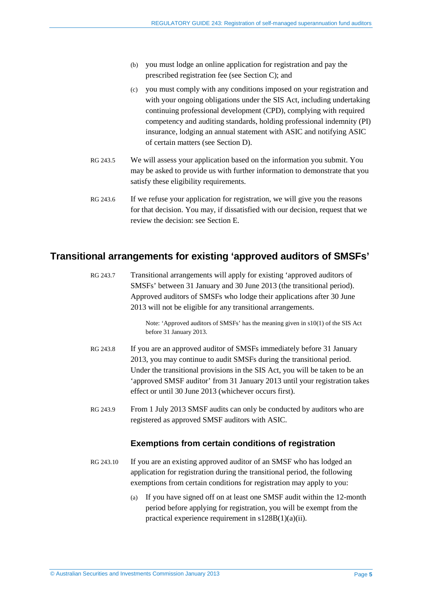- (b) you must lodge an online application for registration and pay the prescribed registration fee (see Section [C\)](#page-14-0); and
- (c) you must comply with any conditions imposed on your registration and with your ongoing obligations under the SIS Act, including undertaking continuing professional development (CPD), complying with required competency and auditing standards, holding professional indemnity (PI) insurance, lodging an annual statement with ASIC and notifying ASIC of certain matters (see Section [D\)](#page-20-0).
- <span id="page-4-1"></span>RG 243.5 We will assess your application based on the information you submit. You may be asked to provide us with further information to demonstrate that you satisfy these eligibility requirements.
- RG 243.6 If we refuse your application for registration, we will give you the reasons for that decision. You may, if dissatisfied with our decision, request that we review the decision: see Section [E.](#page-24-0)

#### <span id="page-4-2"></span><span id="page-4-0"></span>**Transitional arrangements for existing 'approved auditors of SMSFs'**

- RG 243.7 Transitional arrangements will apply for existing 'approved auditors of SMSFs' between 31 January and 30 June 2013 (the transitional period). Approved auditors of SMSFs who lodge their applications after 30 June 2013 will not be eligible for any transitional arrangements. Note: 'Approved auditors of SMSFs' has the meaning given in s10(1) of the SIS Act before 31 January 2013. RG 243.8 If you are an approved auditor of SMSFs immediately before 31 January 2013, you may continue to audit SMSFs during the transitional period. Under the transitional provisions in the SIS Act, you will be taken to be an 'approved SMSF auditor' from 31 January 2013 until your registration takes effect or until 30 June 2013 (whichever occurs first). RG 243.9 From 1 July 2013 SMSF audits can only be conducted by auditors who are registered as approved SMSF auditors with ASIC. **Exemptions from certain conditions of registration** RG 243.10 If you are an existing approved auditor of an SMSF who has lodged an application for registration during the transitional period, the following
	- (a) If you have signed off on at least one SMSF audit within the 12-month period before applying for registration, you will be exempt from the practical experience requirement in s128B(1)(a)(ii).

<span id="page-4-3"></span>exemptions from certain conditions for registration may apply to you: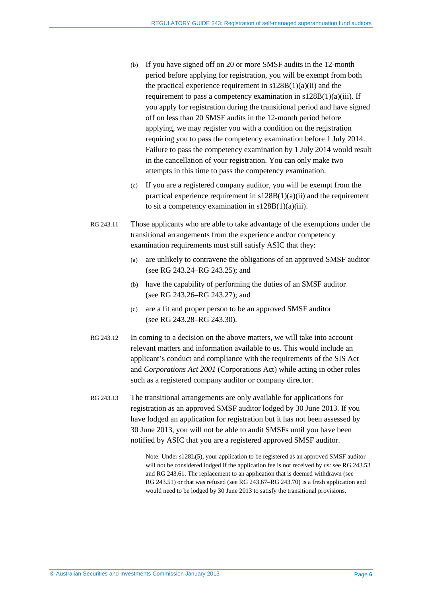- (b) If you have signed off on 20 or more SMSF audits in the 12-month period before applying for registration, you will be exempt from both the practical experience requirement in  $s128B(1)(a)(ii)$  and the requirement to pass a competency examination in  $s128B(1)(a)(iii)$ . If you apply for registration during the transitional period and have signed off on less than 20 SMSF audits in the 12-month period before applying, we may register you with a condition on the registration requiring you to pass the competency examination before 1 July 2014. Failure to pass the competency examination by 1 July 2014 would result in the cancellation of your registration. You can only make two attempts in this time to pass the competency examination.
- (c) If you are a registered company auditor, you will be exempt from the practical experience requirement in  $s128B(1)(a)(ii)$  and the requirement to sit a competency examination in  $s128B(1)(a)(iii)$ .
- <span id="page-5-1"></span>RG 243.11 Those applicants who are able to take advantage of the exemptions under the transitional arrangements from the experience and/or competency examination requirements must still satisfy ASIC that they:
	- (a) are unlikely to contravene the obligations of an approved SMSF auditor (see RG [243.24–](#page-9-2)RG [243.25\)](#page-9-3); and
	- (b) have the capability of performing the duties of an SMSF auditor (see RG [243.26–](#page-10-2)RG [243.27\)](#page-10-3); and
	- (c) are a fit and proper person to be an approved SMSF auditor (see RG [243.28–](#page-10-4)RG [243.30\)](#page-10-5).
- RG 243.12 In coming to a decision on the above matters, we will take into account relevant matters and information available to us. This would include an applicant's conduct and compliance with the requirements of the SIS Act and *Corporations Act 2001* (Corporations Act) while acting in other roles such as a registered company auditor or company director.
- <span id="page-5-0"></span>RG 243.13 The transitional arrangements are only available for applications for registration as an approved SMSF auditor lodged by 30 June 2013. If you have lodged an application for registration but it has not been assessed by 30 June 2013, you will not be able to audit SMSFs until you have been notified by ASIC that you are a registered approved SMSF auditor.

Note: Under s128L(5), your application to be registered as an approved SMSF auditor will not be considered lodged if the application fee is not received by us: see RG [243.53](#page-16-0) and RG [243.61.](#page-17-1) The replacement to an application that is deemed withdrawn (see RG [243.51\)](#page-16-1) or that was refused (see RG [243.67–](#page-18-2)RG [243.70\)](#page-18-3) is a fresh application and would need to be lodged by 30 June 2013 to satisfy the transitional provisions.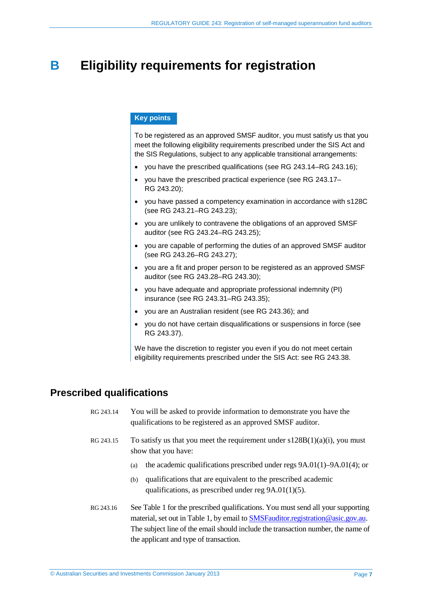### <span id="page-6-0"></span>**B Eligibility requirements for registration**

#### **Key points**

To be registered as an approved SMSF auditor, you must satisfy us that you meet the following eligibility requirements prescribed under the SIS Act and the SIS Regulations, subject to any applicable transitional arrangements:

- you have the prescribed qualifications (see RG [243.14–](#page-6-2)RG [243.16\)](#page-6-3);
- you have the prescribed practical experience (see RG [243.17–](#page-8-1) RG [243.20\)](#page-8-2);
- you have passed a competency examination in accordance with s128C (see RG [243.21–](#page-9-4)RG [243.23\)](#page-9-5);
- you are unlikely to contravene the obligations of an approved SMSF auditor (see RG [243.24–](#page-9-2)RG [243.25\)](#page-9-3);
- you are capable of performing the duties of an approved SMSF auditor (see RG [243.26–](#page-10-2)RG [243.27\)](#page-10-3);
- you are a fit and proper person to be registered as an approved SMSF auditor (see RG [243.28–](#page-10-4)RG [243.30\)](#page-10-5);
- you have adequate and appropriate professional indemnity (PI) insurance (see RG [243.31–](#page-11-1)RG [243.35\)](#page-12-1);
- you are an Australian resident (see RG [243.36\)](#page-12-2); and
- you do not have certain disqualifications or suspensions in force (see RG [243.37\)](#page-13-2).

We have the discretion to register you even if you do not meet certain eligibility requirements prescribed under the SIS Act: see RG [243.38.](#page-13-3)

#### <span id="page-6-2"></span><span id="page-6-1"></span>**Prescribed qualifications**

| RG 243.14 | You will be asked to provide information to demonstrate you have the |
|-----------|----------------------------------------------------------------------|
|           | qualifications to be registered as an approved SMSF auditor.         |

- RG 243.15 To satisfy us that you meet the requirement under  $s128B(1)(a)(i)$ , you must show that you have:
	- (a) the academic qualifications prescribed under regs 9A.01(1)–9A.01(4); or
	- (b) qualifications that are equivalent to the prescribed academic qualifications, as prescribed under reg 9A.01(1)(5).
- <span id="page-6-3"></span>RG 243.16 See [Table 1](#page-7-0) for the prescribed qualifications. You must send all your supporting material, set out i[n Table 1,](#page-7-0) by email to **SMSFauditor.registration@asic.gov.au**. The subject line of the email should include the transaction number, the name of the applicant and type of transaction.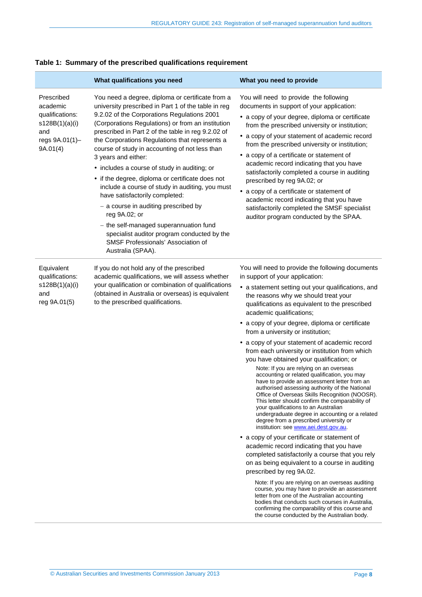|                                                                                                  | What qualifications you need                                                                                                                                                                                                                                                                                                                                                                                                                                                                                                                                                                                                                                                                                                                                                                       | What you need to provide                                                                                                                                                                                                                                                                                                                                                                                                                                                                                                                                                                                                                                                                                                                                                                                                                                                                                                  |
|--------------------------------------------------------------------------------------------------|----------------------------------------------------------------------------------------------------------------------------------------------------------------------------------------------------------------------------------------------------------------------------------------------------------------------------------------------------------------------------------------------------------------------------------------------------------------------------------------------------------------------------------------------------------------------------------------------------------------------------------------------------------------------------------------------------------------------------------------------------------------------------------------------------|---------------------------------------------------------------------------------------------------------------------------------------------------------------------------------------------------------------------------------------------------------------------------------------------------------------------------------------------------------------------------------------------------------------------------------------------------------------------------------------------------------------------------------------------------------------------------------------------------------------------------------------------------------------------------------------------------------------------------------------------------------------------------------------------------------------------------------------------------------------------------------------------------------------------------|
| Prescribed<br>academic<br>qualifications:<br>s128B(1)(a)(i)<br>and<br>regs 9A.01(1)-<br>9A.01(4) | You need a degree, diploma or certificate from a<br>university prescribed in Part 1 of the table in reg<br>9.2.02 of the Corporations Regulations 2001<br>(Corporations Regulations) or from an institution<br>prescribed in Part 2 of the table in reg 9.2.02 of<br>the Corporations Regulations that represents a<br>course of study in accounting of not less than<br>3 years and either:<br>• includes a course of study in auditing; or<br>• if the degree, diploma or certificate does not<br>include a course of study in auditing, you must<br>have satisfactorily completed:<br>- a course in auditing prescribed by<br>reg 9A.02; or<br>- the self-managed superannuation fund<br>specialist auditor program conducted by the<br>SMSF Professionals' Association of<br>Australia (SPAA). | You will need to provide the following<br>documents in support of your application:<br>• a copy of your degree, diploma or certificate<br>from the prescribed university or institution;<br>• a copy of your statement of academic record<br>from the prescribed university or institution;<br>• a copy of a certificate or statement of<br>academic record indicating that you have<br>satisfactorily completed a course in auditing<br>prescribed by reg 9A.02; or<br>• a copy of a certificate or statement of<br>academic record indicating that you have<br>satisfactorily completed the SMSF specialist<br>auditor program conducted by the SPAA.                                                                                                                                                                                                                                                                   |
| Equivalent<br>qualifications:<br>s128B(1)(a)(i)<br>and<br>reg 9A.01(5)                           | If you do not hold any of the prescribed<br>academic qualifications, we will assess whether<br>your qualification or combination of qualifications<br>(obtained in Australia or overseas) is equivalent<br>to the prescribed qualifications.                                                                                                                                                                                                                                                                                                                                                                                                                                                                                                                                                       | You will need to provide the following documents<br>in support of your application:<br>• a statement setting out your qualifications, and<br>the reasons why we should treat your<br>qualifications as equivalent to the prescribed<br>academic qualifications;<br>• a copy of your degree, diploma or certificate<br>from a university or institution;<br>• a copy of your statement of academic record<br>from each university or institution from which<br>you have obtained your qualification; or<br>Note: If you are relying on an overseas<br>accounting or related qualification, you may                                                                                                                                                                                                                                                                                                                         |
|                                                                                                  |                                                                                                                                                                                                                                                                                                                                                                                                                                                                                                                                                                                                                                                                                                                                                                                                    | have to provide an assessment letter from an<br>authorised assessing authority of the National<br>Office of Overseas Skills Recognition (NOOSR).<br>This letter should confirm the comparability of<br>your qualifications to an Australian<br>undergraduate degree in accounting or a related<br>degree from a prescribed university or<br>institution: see www.aei.dest.gov.au.<br>• a copy of your certificate or statement of<br>academic record indicating that you have<br>completed satisfactorily a course that you rely<br>on as being equivalent to a course in auditing<br>prescribed by reg 9A.02.<br>Note: If you are relying on an overseas auditing<br>course, you may have to provide an assessment<br>letter from one of the Australian accounting<br>bodies that conducts such courses in Australia,<br>confirming the comparability of this course and<br>the course conducted by the Australian body. |

#### <span id="page-7-0"></span>**Table 1: Summary of the prescribed qualifications requirement**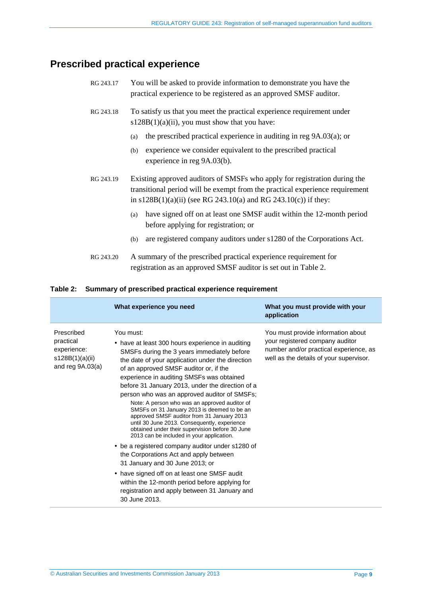### <span id="page-8-1"></span><span id="page-8-0"></span>**Prescribed practical experience**

| RG 243.17 | You will be asked to provide information to demonstrate you have the<br>practical experience to be registered as an approved SMSF auditor.                                                                                     |
|-----------|--------------------------------------------------------------------------------------------------------------------------------------------------------------------------------------------------------------------------------|
| RG 243.18 | To satisfy us that you meet the practical experience requirement under<br>$s128B(1)(a)(ii)$ , you must show that you have:                                                                                                     |
|           | the prescribed practical experience in auditing in reg $9A.03(a)$ ; or<br>(a)                                                                                                                                                  |
|           | experience we consider equivalent to the prescribed practical<br>(b)<br>experience in reg 9A.03(b).                                                                                                                            |
| RG 243.19 | Existing approved auditors of SMSFs who apply for registration during the<br>transitional period will be exempt from the practical experience requirement<br>in $s128B(1)(a)(ii)$ (see RG 243.10(a) and RG 243.10(c)) if they: |
|           | have signed off on at least one SMSF audit within the 12-month period<br>(a)<br>before applying for registration; or                                                                                                           |
|           | are registered company auditors under s1280 of the Corporations Act.<br>(b)                                                                                                                                                    |
| RG 243.20 | A summary of the prescribed practical experience requirement for<br>registration as an approved SMSF auditor is set out in Table 2.                                                                                            |

#### <span id="page-8-3"></span><span id="page-8-2"></span>**Table 2: Summary of prescribed practical experience requirement**

|                                                                                 | What experience you need                                                                                                                                                                                                                                                                                                                                                                                                                                                                                                                                                                                                                                  | What you must provide with your<br>application                                                                                                             |
|---------------------------------------------------------------------------------|-----------------------------------------------------------------------------------------------------------------------------------------------------------------------------------------------------------------------------------------------------------------------------------------------------------------------------------------------------------------------------------------------------------------------------------------------------------------------------------------------------------------------------------------------------------------------------------------------------------------------------------------------------------|------------------------------------------------------------------------------------------------------------------------------------------------------------|
| Prescribed<br>practical<br>experience:<br>s128B(1)(a)(ii)<br>and reg $9A.03(a)$ | You must:<br>• have at least 300 hours experience in auditing<br>SMSFs during the 3 years immediately before<br>the date of your application under the direction<br>of an approved SMSF auditor or, if the<br>experience in auditing SMSFs was obtained<br>before 31 January 2013, under the direction of a<br>person who was an approved auditor of SMSFs;<br>Note: A person who was an approved auditor of<br>SMSFs on 31 January 2013 is deemed to be an<br>approved SMSF auditor from 31 January 2013<br>until 30 June 2013. Consequently, experience<br>obtained under their supervision before 30 June<br>2013 can be included in your application. | You must provide information about<br>your registered company auditor<br>number and/or practical experience, as<br>well as the details of your supervisor. |
|                                                                                 | • be a registered company auditor under s1280 of<br>the Corporations Act and apply between<br>31 January and 30 June 2013; or                                                                                                                                                                                                                                                                                                                                                                                                                                                                                                                             |                                                                                                                                                            |
|                                                                                 | • have signed off on at least one SMSF audit<br>within the 12-month period before applying for<br>registration and apply between 31 January and<br>30 June 2013.                                                                                                                                                                                                                                                                                                                                                                                                                                                                                          |                                                                                                                                                            |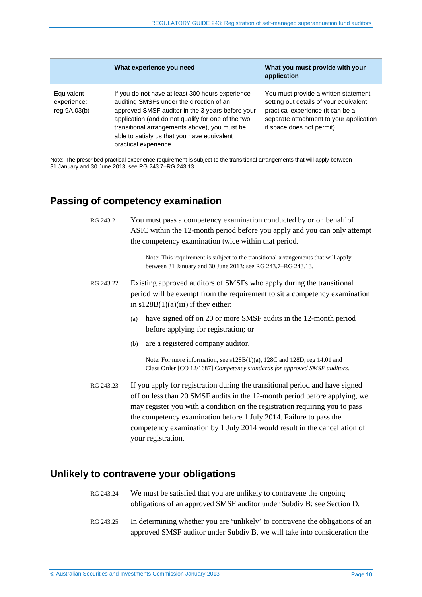|                                           | What experience you need                                                                                                                                                                                                                                                                                                        | What you must provide with your<br>application                                                                                                                                               |
|-------------------------------------------|---------------------------------------------------------------------------------------------------------------------------------------------------------------------------------------------------------------------------------------------------------------------------------------------------------------------------------|----------------------------------------------------------------------------------------------------------------------------------------------------------------------------------------------|
| Equivalent<br>experience:<br>reg 9A.03(b) | If you do not have at least 300 hours experience<br>auditing SMSFs under the direction of an<br>approved SMSF auditor in the 3 years before your<br>application (and do not qualify for one of the two<br>transitional arrangements above), you must be<br>able to satisfy us that you have equivalent<br>practical experience. | You must provide a written statement<br>setting out details of your equivalent<br>practical experience (it can be a<br>separate attachment to your application<br>if space does not permit). |

<span id="page-9-0"></span>Note: The prescribed practical experience requirement is subject to the transitional arrangements that will apply between 31 January and 30 June 2013: see RG [243.7–](#page-4-2)RG [243.13.](#page-5-0)

### <span id="page-9-4"></span>**Passing of competency examination**

RG 243.21 You must pass a competency examination conducted by or on behalf of ASIC within the 12-month period before you apply and you can only attempt the competency examination twice within that period.

> Note: This requirement is subject to the transitional arrangements that will apply between 31 January and 30 June 2013: see RG [243.7–](#page-4-2)RG [243.13.](#page-5-0)

- RG 243.22 Existing approved auditors of SMSFs who apply during the transitional period will be exempt from the requirement to sit a competency examination in  $s128B(1)(a)(iii)$  if they either:
	- (a) have signed off on 20 or more SMSF audits in the 12-month period before applying for registration; or
	- (b) are a registered company auditor.

Note: For more information, see s128B(1)(a), 128C and 128D, reg 14.01 and Class Order [CO 12/1687] C*ompetency standards for approved SMSF auditors.*

<span id="page-9-5"></span>RG 243.23 If you apply for registration during the transitional period and have signed off on less than 20 SMSF audits in the 12-month period before applying, we may register you with a condition on the registration requiring you to pass the competency examination before 1 July 2014. Failure to pass the competency examination by 1 July 2014 would result in the cancellation of your registration.

#### <span id="page-9-3"></span><span id="page-9-2"></span><span id="page-9-1"></span>**Unlikely to contravene your obligations**

- RG 243.24 We must be satisfied that you are unlikely to contravene the ongoing obligations of an approved SMSF auditor under Subdiv B: see Section [D.](#page-20-0)
- RG 243.25 In determining whether you are 'unlikely' to contravene the obligations of an approved SMSF auditor under Subdiv B, we will take into consideration the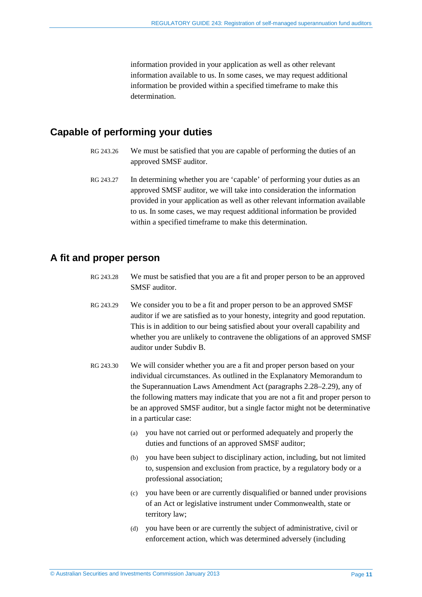information provided in your application as well as other relevant information available to us. In some cases, we may request additional information be provided within a specified timeframe to make this determination.

#### <span id="page-10-3"></span><span id="page-10-2"></span><span id="page-10-0"></span>**Capable of performing your duties**

- RG 243.26 We must be satisfied that you are capable of performing the duties of an approved SMSF auditor.
- RG 243.27 In determining whether you are 'capable' of performing your duties as an approved SMSF auditor, we will take into consideration the information provided in your application as well as other relevant information available to us. In some cases, we may request additional information be provided within a specified timeframe to make this determination.

#### <span id="page-10-4"></span><span id="page-10-1"></span>**A fit and proper person**

- RG 243.28 We must be satisfied that you are a fit and proper person to be an approved SMSF auditor.
- RG 243.29 We consider you to be a fit and proper person to be an approved SMSF auditor if we are satisfied as to your honesty, integrity and good reputation. This is in addition to our being satisfied about your overall capability and whether you are unlikely to contravene the obligations of an approved SMSF auditor under Subdiv B.
- <span id="page-10-5"></span>RG 243.30 We will consider whether you are a fit and proper person based on your individual circumstances. As outlined in the Explanatory Memorandum to the Superannuation Laws Amendment Act (paragraphs 2.28–2.29), any of the following matters may indicate that you are not a fit and proper person to be an approved SMSF auditor, but a single factor might not be determinative in a particular case:
	- (a) you have not carried out or performed adequately and properly the duties and functions of an approved SMSF auditor;
	- (b) you have been subject to disciplinary action, including, but not limited to, suspension and exclusion from practice, by a regulatory body or a professional association;
	- (c) you have been or are currently disqualified or banned under provisions of an Act or legislative instrument under Commonwealth, state or territory law;
	- (d) you have been or are currently the subject of administrative, civil or enforcement action, which was determined adversely (including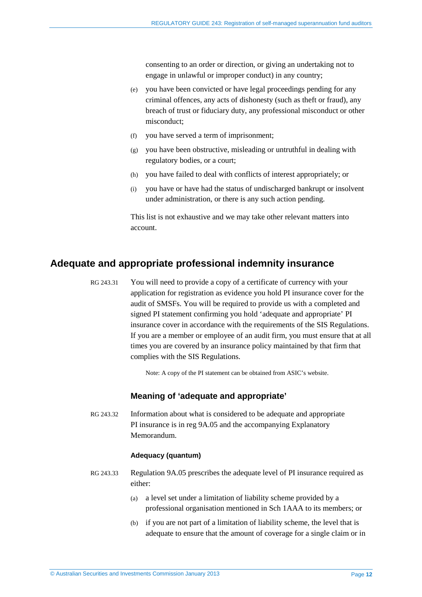consenting to an order or direction, or giving an undertaking not to engage in unlawful or improper conduct) in any country;

- (e) you have been convicted or have legal proceedings pending for any criminal offences, any acts of dishonesty (such as theft or fraud), any breach of trust or fiduciary duty, any professional misconduct or other misconduct;
- (f) you have served a term of imprisonment;
- (g) you have been obstructive, misleading or untruthful in dealing with regulatory bodies, or a court;
- (h) you have failed to deal with conflicts of interest appropriately; or
- (i) you have or have had the status of undischarged bankrupt or insolvent under administration, or there is any such action pending.

This list is not exhaustive and we may take other relevant matters into account.

#### <span id="page-11-1"></span><span id="page-11-0"></span>**Adequate and appropriate professional indemnity insurance**

RG 243.31 You will need to provide a copy of a certificate of currency with your application for registration as evidence you hold PI insurance cover for the audit of SMSFs. You will be required to provide us with a completed and signed PI statement confirming you hold 'adequate and appropriate' PI insurance cover in accordance with the requirements of the SIS Regulations. If you are a member or employee of an audit firm, you must ensure that at all times you are covered by an insurance policy maintained by that firm that complies with the SIS Regulations.

Note: A copy of the PI statement can be obtained from ASIC's website.

#### **Meaning of 'adequate and appropriate'**

RG 243.32 Information about what is considered to be adequate and appropriate PI insurance is in reg 9A.05 and the accompanying Explanatory Memorandum.

#### **Adequacy (quantum)**

- RG 243.33 Regulation 9A.05 prescribes the adequate level of PI insurance required as either:
	- (a) a level set under a limitation of liability scheme provided by a professional organisation mentioned in Sch 1AAA to its members; or
	- (b) if you are not part of a limitation of liability scheme, the level that is adequate to ensure that the amount of coverage for a single claim or in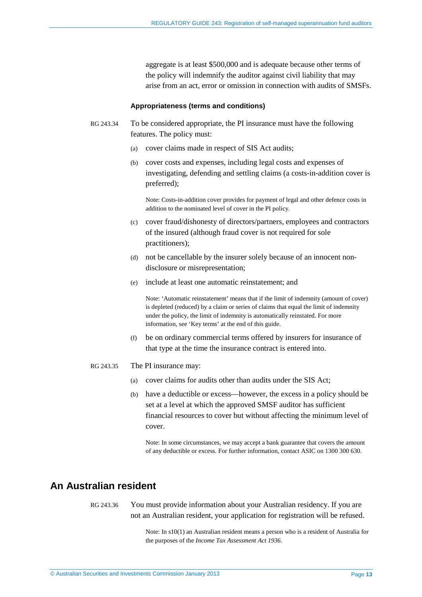aggregate is at least \$500,000 and is adequate because other terms of the policy will indemnify the auditor against civil liability that may arise from an act, error or omission in connection with audits of SMSFs.

#### **Appropriateness (terms and conditions)**

- RG 243.34 To be considered appropriate, the PI insurance must have the following features. The policy must:
	- (a) cover claims made in respect of SIS Act audits;
	- (b) cover costs and expenses, including legal costs and expenses of investigating, defending and settling claims (a costs-in-addition cover is preferred);

Note: Costs-in-addition cover provides for payment of legal and other defence costs in addition to the nominated level of cover in the PI policy.

- (c) cover fraud/dishonesty of directors/partners, employees and contractors of the insured (although fraud cover is not required for sole practitioners);
- (d) not be cancellable by the insurer solely because of an innocent nondisclosure or misrepresentation;
- (e) include at least one automatic reinstatement; and

Note: 'Automatic reinstatement' means that if the limit of indemnity (amount of cover) is depleted (reduced) by a claim or series of claims that equal the limit of indemnity under the policy, the limit of indemnity is automatically reinstated. For more information, see 'Key terms' at the end of this guide.

(f) be on ordinary commercial terms offered by insurers for insurance of that type at the time the insurance contract is entered into.

#### <span id="page-12-1"></span>RG 243.35 The PI insurance may:

- (a) cover claims for audits other than audits under the SIS Act;
- (b) have a deductible or excess—however, the excess in a policy should be set at a level at which the approved SMSF auditor has sufficient financial resources to cover but without affecting the minimum level of cover.

Note: In some circumstances, we may accept a bank guarantee that covers the amount of any deductible or excess. For further information, contact ASIC on 1300 300 630.

#### <span id="page-12-2"></span><span id="page-12-0"></span>**An Australian resident**

RG 243.36 You must provide information about your Australian residency. If you are not an Australian resident, your application for registration will be refused.

> Note: In s10(1) an Australian resident means a person who is a resident of Australia for the purposes of the *Income Tax Assessment Act 1936*.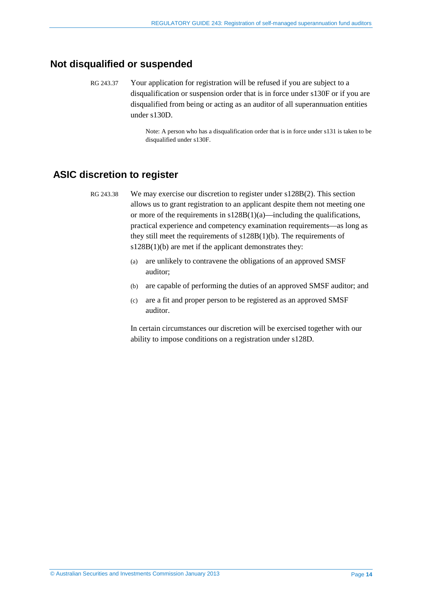#### <span id="page-13-2"></span><span id="page-13-0"></span>**Not disqualified or suspended**

RG 243.37 Your application for registration will be refused if you are subject to a disqualification or suspension order that is in force under s130F or if you are disqualified from being or acting as an auditor of all superannuation entities under s130D.

> Note: A person who has a disqualification order that is in force under s131 is taken to be disqualified under s130F.

#### <span id="page-13-3"></span><span id="page-13-1"></span>**ASIC discretion to register**

- RG 243.38 We may exercise our discretion to register under s128B(2). This section allows us to grant registration to an applicant despite them not meeting one or more of the requirements in  $s128B(1)(a)$ —including the qualifications, practical experience and competency examination requirements—as long as they still meet the requirements of s128B(1)(b). The requirements of s128B(1)(b) are met if the applicant demonstrates they:
	- (a) are unlikely to contravene the obligations of an approved SMSF auditor;
	- (b) are capable of performing the duties of an approved SMSF auditor; and
	- (c) are a fit and proper person to be registered as an approved SMSF auditor.

In certain circumstances our discretion will be exercised together with our ability to impose conditions on a registration under s128D.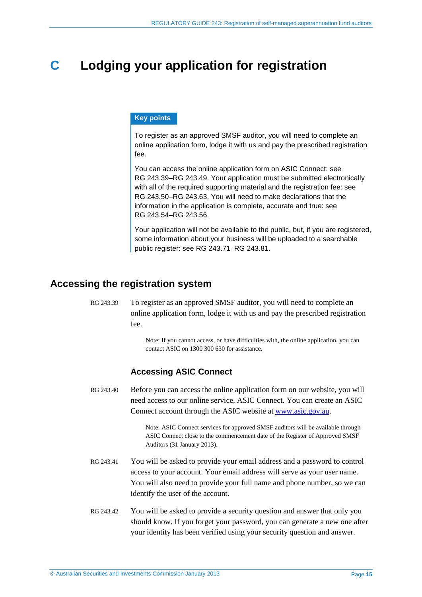### <span id="page-14-0"></span>**C Lodging your application for registration**

#### **Key points**

To register as an approved SMSF auditor, you will need to complete an online application form, lodge it with us and pay the prescribed registration fee.

You can access the online application form on ASIC Connect: see RG [243.39–](#page-14-2)RG [243.49.](#page-15-1) Your application must be submitted electronically with all of the required supporting material and the registration fee: see RG [243.50–](#page-15-2)RG [243.63.](#page-17-2) You will need to make declarations that the information in the application is complete, accurate and true: see RG [243.54–](#page-16-2)RG [243.56.](#page-16-3)

Your application will not be available to the public, but, if you are registered, some information about your business will be uploaded to a searchable public register: see RG [243.71–](#page-18-4)RG [243.81.](#page-19-0)

#### <span id="page-14-2"></span><span id="page-14-1"></span>**Accessing the registration system**

RG 243.39 To register as an approved SMSF auditor, you will need to complete an online application form, lodge it with us and pay the prescribed registration fee.

> Note: If you cannot access, or have difficulties with, the online application, you can contact ASIC on 1300 300 630 for assistance.

#### **Accessing ASIC Connect**

RG 243.40 Before you can access the online application form on our website, you will need access to our online service, ASIC Connect. You can create an ASIC Connect account through the ASIC website a[t www.asic.gov.au.](http://www.asic.gov.au/)

> Note: ASIC Connect services for approved SMSF auditors will be available through ASIC Connect close to the commencement date of the Register of Approved SMSF Auditors (31 January 2013).

- RG 243.41 You will be asked to provide your email address and a password to control access to your account. Your email address will serve as your user name. You will also need to provide your full name and phone number, so we can identify the user of the account.
- RG 243.42 You will be asked to provide a security question and answer that only you should know. If you forget your password, you can generate a new one after your identity has been verified using your security question and answer.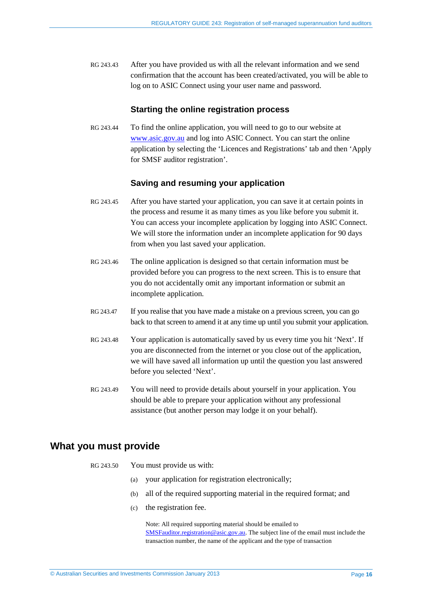RG 243.43 After you have provided us with all the relevant information and we send confirmation that the account has been created/activated, you will be able to log on to ASIC Connect using your user name and password.

#### **Starting the online registration process**

RG 243.44 To find the online application, you will need to go to our website at [www.asic.gov.au](http://www.asic.gov.au/) and log into ASIC Connect. You can start the online application by selecting the 'Licences and Registrations' tab and then 'Apply for SMSF auditor registration'.

#### **Saving and resuming your application**

- RG 243.45 After you have started your application, you can save it at certain points in the process and resume it as many times as you like before you submit it. You can access your incomplete application by logging into ASIC Connect. We will store the information under an incomplete application for 90 days from when you last saved your application.
- RG 243.46 The online application is designed so that certain information must be provided before you can progress to the next screen. This is to ensure that you do not accidentally omit any important information or submit an incomplete application.
- RG 243.47 If you realise that you have made a mistake on a previous screen, you can go back to that screen to amend it at any time up until you submit your application.
- RG 243.48 Your application is automatically saved by us every time you hit 'Next'. If you are disconnected from the internet or you close out of the application, we will have saved all information up until the question you last answered before you selected 'Next'.
- <span id="page-15-1"></span>RG 243.49 You will need to provide details about yourself in your application. You should be able to prepare your application without any professional assistance (but another person may lodge it on your behalf).

#### <span id="page-15-2"></span><span id="page-15-0"></span>**What you must provide**

- RG 243.50 You must provide us with:
	- (a) your application for registration electronically;
	- (b) all of the required supporting material in the required format; and
	- (c) the registration fee.

Note: All required supporting material should be emailed to [SMSFauditor.registration@asic.gov.au.](mailto:SMSFauditor.registration@asic.gov.au) The subject line of the email must include the transaction number, the name of the applicant and the type of transaction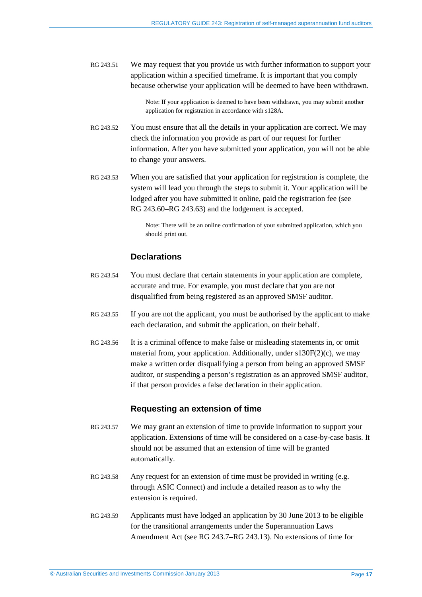<span id="page-16-1"></span>RG 243.51 We may request that you provide us with further information to support your application within a specified timeframe. It is important that you comply because otherwise your application will be deemed to have been withdrawn.

> Note: If your application is deemed to have been withdrawn, you may submit another application for registration in accordance with s128A.

- RG 243.52 You must ensure that all the details in your application are correct. We may check the information you provide as part of our request for further information. After you have submitted your application, you will not be able to change your answers.
- <span id="page-16-0"></span>RG 243.53 When you are satisfied that your application for registration is complete, the system will lead you through the steps to submit it. Your application will be lodged after you have submitted it online, paid the registration fee (see RG [243.60–](#page-17-3)RG [243.63\)](#page-17-2) and the lodgement is accepted.

Note: There will be an online confirmation of your submitted application, which you should print out.

#### **Declarations**

- <span id="page-16-2"></span>RG 243.54 You must declare that certain statements in your application are complete, accurate and true. For example, you must declare that you are not disqualified from being registered as an approved SMSF auditor.
- RG 243.55 If you are not the applicant, you must be authorised by the applicant to make each declaration, and submit the application, on their behalf.
- <span id="page-16-3"></span>RG 243.56 It is a criminal offence to make false or misleading statements in, or omit material from, your application. Additionally, under  $s130F(2)(c)$ , we may make a written order disqualifying a person from being an approved SMSF auditor, or suspending a person's registration as an approved SMSF auditor, if that person provides a false declaration in their application.

#### **Requesting an extension of time**

- RG 243.57 We may grant an extension of time to provide information to support your application. Extensions of time will be considered on a case-by-case basis. It should not be assumed that an extension of time will be granted automatically.
- RG 243.58 Any request for an extension of time must be provided in writing (e.g. through ASIC Connect) and include a detailed reason as to why the extension is required.
- RG 243.59 Applicants must have lodged an application by 30 June 2013 to be eligible for the transitional arrangements under the Superannuation Laws Amendment Act (see RG [243.7–](#page-4-2)RG [243.13\)](#page-5-0). No extensions of time for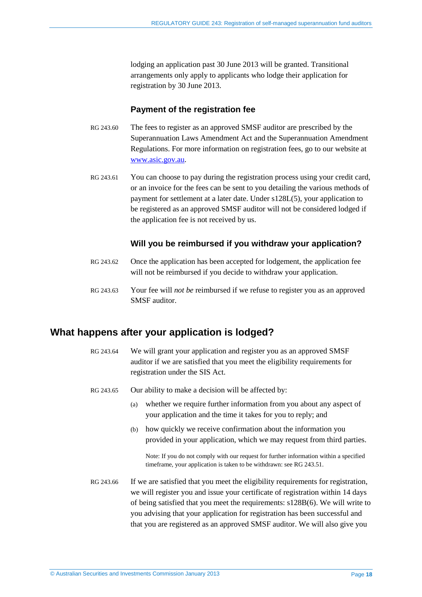lodging an application past 30 June 2013 will be granted. Transitional arrangements only apply to applicants who lodge their application for registration by 30 June 2013.

#### **Payment of the registration fee**

- <span id="page-17-3"></span>RG 243.60 The fees to register as an approved SMSF auditor are prescribed by the Superannuation Laws Amendment Act and the Superannuation Amendment Regulations. For more information on registration fees, go to our website at [www.asic.gov.au.](http://www.asic.gov.au/)
- <span id="page-17-1"></span>RG 243.61 You can choose to pay during the registration process using your credit card, or an invoice for the fees can be sent to you detailing the various methods of payment for settlement at a later date. Under s128L(5), your application to be registered as an approved SMSF auditor will not be considered lodged if the application fee is not received by us.

#### **Will you be reimbursed if you withdraw your application?**

- RG 243.62 Once the application has been accepted for lodgement, the application fee will not be reimbursed if you decide to withdraw your application.
- <span id="page-17-2"></span>RG 243.63 Your fee will *not be* reimbursed if we refuse to register you as an approved SMSF auditor.

#### <span id="page-17-0"></span>**What happens after your application is lodged?**

- RG 243.64 We will grant your application and register you as an approved SMSF auditor if we are satisfied that you meet the eligibility requirements for registration under the SIS Act.
- RG 243.65 Our ability to make a decision will be affected by:
	- (a) whether we require further information from you about any aspect of your application and the time it takes for you to reply; and
	- (b) how quickly we receive confirmation about the information you provided in your application, which we may request from third parties.

Note: If you do not comply with our request for further information within a specified timeframe, your application is taken to be withdrawn: see RG [243.51.](#page-16-1)

RG 243.66 If we are satisfied that you meet the eligibility requirements for registration, we will register you and issue your certificate of registration within 14 days of being satisfied that you meet the requirements: s128B(6). We will write to you advising that your application for registration has been successful and that you are registered as an approved SMSF auditor. We will also give you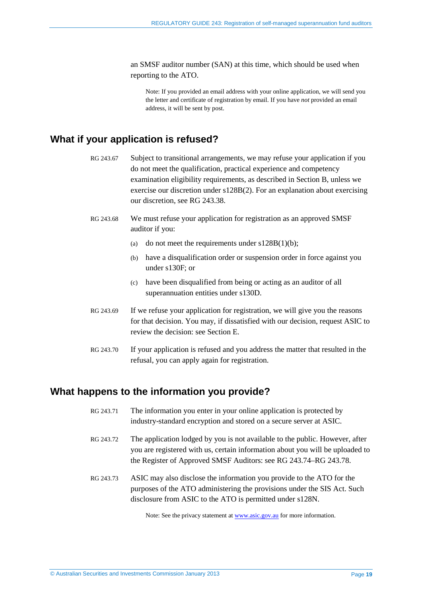an SMSF auditor number (SAN) at this time, which should be used when reporting to the ATO.

Note: If you provided an email address with your online application, we will send you the letter and certificate of registration by email. If you have *not* provided an email address, it will be sent by post.

### <span id="page-18-2"></span><span id="page-18-0"></span>**What if your application is refused?**

- RG 243.67 Subject to transitional arrangements, we may refuse your application if you do not meet the qualification, practical experience and competency examination eligibility requirements, as described in Sectio[n B,](#page-6-0) unless we exercise our discretion under s128B(2). For an explanation about exercising our discretion, see RG [243.38.](#page-13-3)
- RG 243.68 We must refuse your application for registration as an approved SMSF auditor if you:
	- (a) do not meet the requirements under  $s128B(1)(b)$ ;
	- (b) have a disqualification order or suspension order in force against you under s130F; or
	- (c) have been disqualified from being or acting as an auditor of all superannuation entities under s130D.
- RG 243.69 If we refuse your application for registration, we will give you the reasons for that decision. You may, if dissatisfied with our decision, request ASIC to review the decision: see Section [E.](#page-24-0)
- <span id="page-18-3"></span>RG 243.70 If your application is refused and you address the matter that resulted in the refusal, you can apply again for registration.

#### <span id="page-18-4"></span><span id="page-18-1"></span>**What happens to the information you provide?**

- RG 243.71 The information you enter in your online application is protected by industry-standard encryption and stored on a secure server at ASIC.
- RG 243.72 The application lodged by you is not available to the public. However, after you are registered with us, certain information about you will be uploaded to the Register of Approved SMSF Auditors: see RG [243.74–](#page-19-1)RG [243.78.](#page-19-2)
- RG 243.73 ASIC may also disclose the information you provide to the ATO for the purposes of the ATO administering the provisions under the SIS Act. Such disclosure from ASIC to the ATO is permitted under s128N.

Note: See the privacy statement at **www.asic.gov.au** for more information.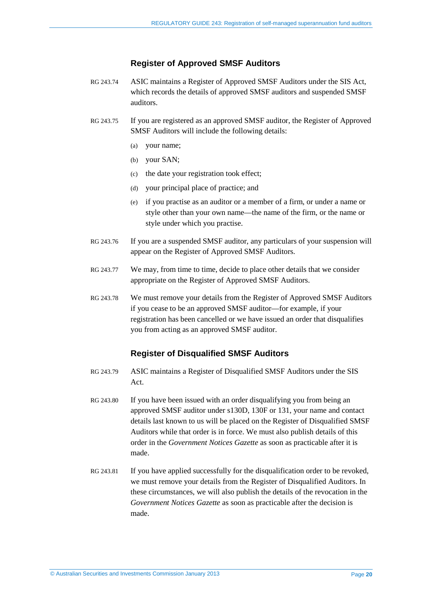#### **Register of Approved SMSF Auditors**

- <span id="page-19-1"></span>RG 243.74 ASIC maintains a Register of Approved SMSF Auditors under the SIS Act, which records the details of approved SMSF auditors and suspended SMSF auditors.
- RG 243.75 If you are registered as an approved SMSF auditor, the Register of Approved SMSF Auditors will include the following details:
	- (a) your name;
	- (b) your SAN;
	- (c) the date your registration took effect;
	- (d) your principal place of practice; and
	- (e) if you practise as an auditor or a member of a firm, or under a name or style other than your own name—the name of the firm, or the name or style under which you practise.
- RG 243.76 If you are a suspended SMSF auditor, any particulars of your suspension will appear on the Register of Approved SMSF Auditors.
- RG 243.77 We may, from time to time, decide to place other details that we consider appropriate on the Register of Approved SMSF Auditors.
- <span id="page-19-2"></span>RG 243.78 We must remove your details from the Register of Approved SMSF Auditors if you cease to be an approved SMSF auditor—for example, if your registration has been cancelled or we have issued an order that disqualifies you from acting as an approved SMSF auditor.

#### **Register of Disqualified SMSF Auditors**

- RG 243.79 ASIC maintains a Register of Disqualified SMSF Auditors under the SIS Act.
- RG 243.80 If you have been issued with an order disqualifying you from being an approved SMSF auditor under s130D, 130F or 131, your name and contact details last known to us will be placed on the Register of Disqualified SMSF Auditors while that order is in force. We must also publish details of this order in the *Government Notices Gazette* as soon as practicable after it is made.
- <span id="page-19-0"></span>RG 243.81 If you have applied successfully for the disqualification order to be revoked. we must remove your details from the Register of Disqualified Auditors. In these circumstances, we will also publish the details of the revocation in the *Government Notices Gazette* as soon as practicable after the decision is made.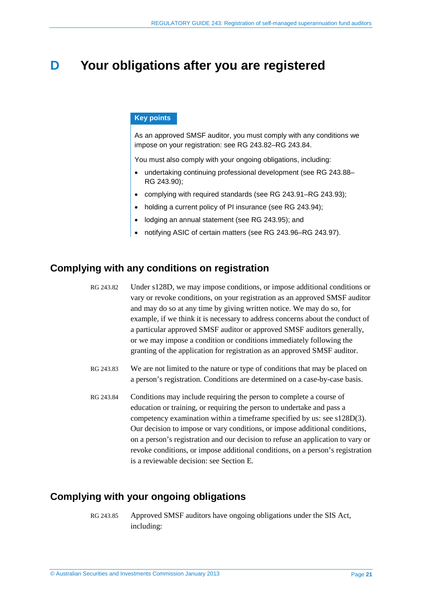### <span id="page-20-0"></span>**D Your obligations after you are registered**

#### **Key points**

As an approved SMSF auditor, you must comply with any conditions we impose on your registration: see RG [243.82–](#page-20-3)RG [243.84.](#page-20-4)

You must also comply with your ongoing obligations, including:

- undertaking continuing professional development (see RG [243.88–](#page-21-0) RG [243.90\)](#page-21-1);
- complying with required standards (see RG [243.91–](#page-21-2)RG [243.93\)](#page-22-0);
- holding a current policy of PI insurance (see RG [243.94\)](#page-22-1);
- lodging an annual statement (see RG [243.95\)](#page-22-2); and
- notifying ASIC of certain matters (see RG [243.96–](#page-22-3)RG [243.97\)](#page-23-0).

#### <span id="page-20-3"></span><span id="page-20-1"></span>**Complying with any conditions on registration**

RG 243.82 Under s128D, we may impose conditions, or impose additional conditions or vary or revoke conditions, on your registration as an approved SMSF auditor and may do so at any time by giving written notice. We may do so, for example, if we think it is necessary to address concerns about the conduct of a particular approved SMSF auditor or approved SMSF auditors generally, or we may impose a condition or conditions immediately following the granting of the application for registration as an approved SMSF auditor.

- RG 243.83 We are not limited to the nature or type of conditions that may be placed on a person's registration. Conditions are determined on a case-by-case basis.
- <span id="page-20-4"></span>RG 243.84 Conditions may include requiring the person to complete a course of education or training, or requiring the person to undertake and pass a competency examination within a timeframe specified by us: see s128D(3). Our decision to impose or vary conditions, or impose additional conditions, on a person's registration and our decision to refuse an application to vary or revoke conditions, or impose additional conditions, on a person's registration is a reviewable decision: see Section [E.](#page-24-0)

#### <span id="page-20-2"></span>**Complying with your ongoing obligations**

RG 243.85 Approved SMSF auditors have ongoing obligations under the SIS Act, including: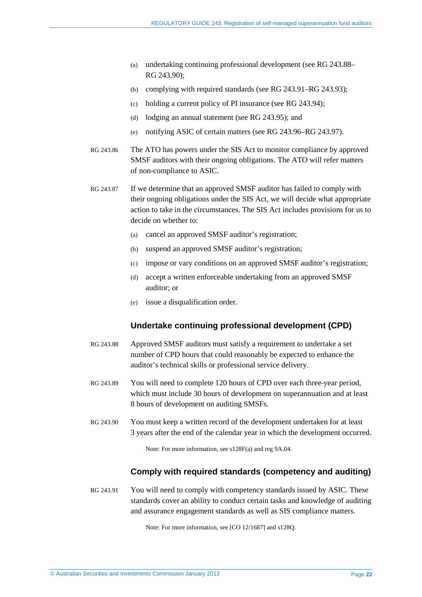- (a) undertaking continuing professional development (see RG [243.88–](#page-21-0) RG [243.90\)](#page-21-1);
- (b) complying with required standards (see RG [243.91–](#page-21-2)RG [243.93\)](#page-22-0);
- (c) holding a current policy of PI insurance (see RG [243.94\)](#page-22-1);
- (d) lodging an annual statement (see RG [243.95\)](#page-22-2); and
- (e) notifying ASIC of certain matters (see RG [243.96–](#page-22-3)RG [243.97\)](#page-23-0).
- RG 243.86 The ATO has powers under the SIS Act to monitor compliance by approved SMSF auditors with their ongoing obligations. The ATO will refer matters of non-compliance to ASIC.
- RG 243.87 If we determine that an approved SMSF auditor has failed to comply with their ongoing obligations under the SIS Act, we will decide what appropriate action to take in the circumstances. The SIS Act includes provisions for us to decide on whether to:
	- (a) cancel an approved SMSF auditor's registration;
	- (b) suspend an approved SMSF auditor's registration;
	- (c) impose or vary conditions on an approved SMSF auditor's registration;
	- (d) accept a written enforceable undertaking from an approved SMSF auditor; or
	- (e) issue a disqualification order.

#### **Undertake continuing professional development (CPD)**

- <span id="page-21-0"></span>RG 243.88 Approved SMSF auditors must satisfy a requirement to undertake a set number of CPD hours that could reasonably be expected to enhance the auditor's technical skills or professional service delivery.
- RG 243.89 You will need to complete 120 hours of CPD over each three-year period, which must include 30 hours of development on superannuation and at least 8 hours of development on auditing SMSFs.
- <span id="page-21-1"></span>RG 243.90 You must keep a written record of the development undertaken for at least 3 years after the end of the calendar year in which the development occurred.

Note: For more information, see s128F(a) and reg 9A.04.

#### **Comply with required standards (competency and auditing)**

<span id="page-21-2"></span>RG 243.91 You will need to comply with competency standards issued by ASIC. These standards cover an ability to conduct certain tasks and knowledge of auditing and assurance engagement standards as well as SIS compliance matters.

Note: For more information, see [CO 12/1687] and s128Q.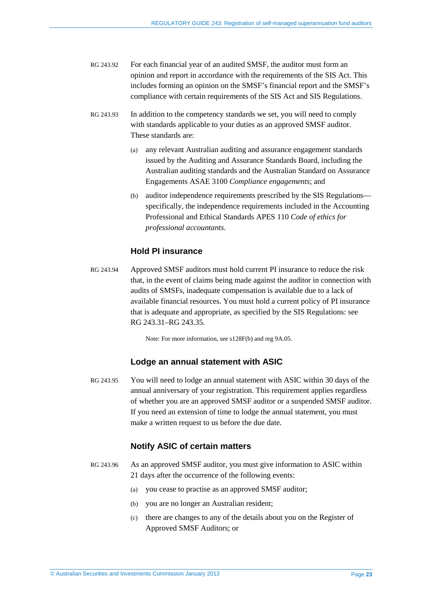- RG 243.92 For each financial year of an audited SMSF, the auditor must form an opinion and report in accordance with the requirements of the SIS Act. This includes forming an opinion on the SMSF's financial report and the SMSF's compliance with certain requirements of the SIS Act and SIS Regulations.
- <span id="page-22-0"></span>RG 243.93 In addition to the competency standards we set, you will need to comply with standards applicable to your duties as an approved SMSF auditor. These standards are:
	- (a) any relevant Australian auditing and assurance engagement standards issued by the Auditing and Assurance Standards Board, including the Australian auditing standards and the Australian Standard on Assurance Engagements ASAE 3100 *Compliance engagements*; and
	- (b) auditor independence requirements prescribed by the SIS Regulations specifically, the independence requirements included in the Accounting Professional and Ethical Standards APES 110 *Code of ethics for professional accountants*.

#### **Hold PI insurance**

<span id="page-22-1"></span>RG 243.94 Approved SMSF auditors must hold current PI insurance to reduce the risk that, in the event of claims being made against the auditor in connection with audits of SMSFs, inadequate compensation is available due to a lack of available financial resources. You must hold a current policy of PI insurance that is adequate and appropriate, as specified by the SIS Regulations: see RG [243.31–](#page-11-1)RG [243.35.](#page-12-1)

Note: For more information, see s128F(b) and reg 9A.05.

#### **Lodge an annual statement with ASIC**

<span id="page-22-2"></span>RG 243.95 You will need to lodge an annual statement with ASIC within 30 days of the annual anniversary of your registration. This requirement applies regardless of whether you are an approved SMSF auditor or a suspended SMSF auditor. If you need an extension of time to lodge the annual statement, you must make a written request to us before the due date.

#### **Notify ASIC of certain matters**

- <span id="page-22-3"></span>RG 243.96 As an approved SMSF auditor, you must give information to ASIC within 21 days after the occurrence of the following events:
	- (a) you cease to practise as an approved SMSF auditor;
	- (b) you are no longer an Australian resident;
	- (c) there are changes to any of the details about you on the Register of Approved SMSF Auditors; or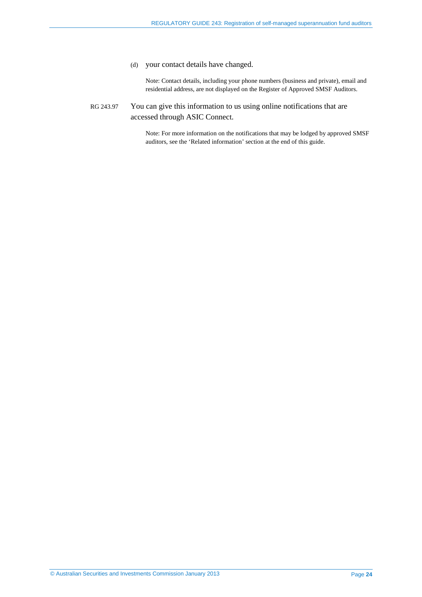#### (d) your contact details have changed.

Note: Contact details, including your phone numbers (business and private), email and residential address, are not displayed on the Register of Approved SMSF Auditors.

#### <span id="page-23-0"></span>RG 243.97 You can give this information to us using online notifications that are accessed through ASIC Connect.

Note: For more information on the notifications that may be lodged by approved SMSF auditors, see the 'Related information' section at the end of this guide.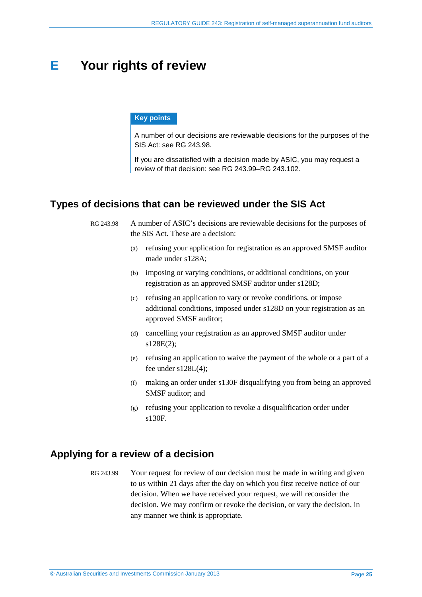### <span id="page-24-0"></span>**E Your rights of review**

#### **Key points**

A number of our decisions are reviewable decisions for the purposes of the SIS Act: see RG [243.98.](#page-24-3)

If you are dissatisfied with a decision made by ASIC, you may request a review of that decision: see RG [243.99–](#page-24-4)RG [243.102.](#page-25-0)

#### <span id="page-24-3"></span><span id="page-24-1"></span>**Types of decisions that can be reviewed under the SIS Act**

RG 243.98 A number of ASIC's decisions are reviewable decisions for the purposes of the SIS Act. These are a decision:

- (a) refusing your application for registration as an approved SMSF auditor made under s128A;
- (b) imposing or varying conditions, or additional conditions, on your registration as an approved SMSF auditor under s128D;
- (c) refusing an application to vary or revoke conditions, or impose additional conditions, imposed under s128D on your registration as an approved SMSF auditor;
- (d) cancelling your registration as an approved SMSF auditor under s128E(2);
- (e) refusing an application to waive the payment of the whole or a part of a fee under s128L(4);
- (f) making an order under s130F disqualifying you from being an approved SMSF auditor; and
- (g) refusing your application to revoke a disqualification order under s130F.

#### <span id="page-24-4"></span><span id="page-24-2"></span>**Applying for a review of a decision**

RG 243.99 Your request for review of our decision must be made in writing and given to us within 21 days after the day on which you first receive notice of our decision. When we have received your request, we will reconsider the decision. We may confirm or revoke the decision, or vary the decision, in any manner we think is appropriate.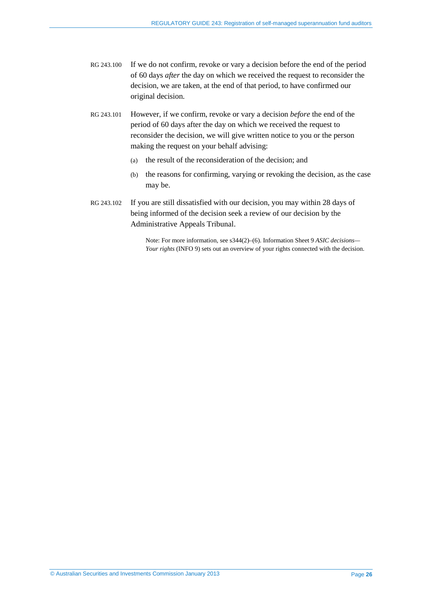- RG 243.100 If we do not confirm, revoke or vary a decision before the end of the period of 60 days *after* the day on which we received the request to reconsider the decision, we are taken, at the end of that period, to have confirmed our original decision.
- RG 243.101 However, if we confirm, revoke or vary a decision *before* the end of the period of 60 days after the day on which we received the request to reconsider the decision, we will give written notice to you or the person making the request on your behalf advising:
	- (a) the result of the reconsideration of the decision; and
	- (b) the reasons for confirming, varying or revoking the decision, as the case may be.
- <span id="page-25-0"></span>RG 243.102 If you are still dissatisfied with our decision, you may within 28 days of being informed of the decision seek a review of our decision by the Administrative Appeals Tribunal.

Note: For more information, see s344(2)–(6). Information Sheet 9 *ASIC decisions— Your rights* (INFO 9) sets out an overview of your rights connected with the decision.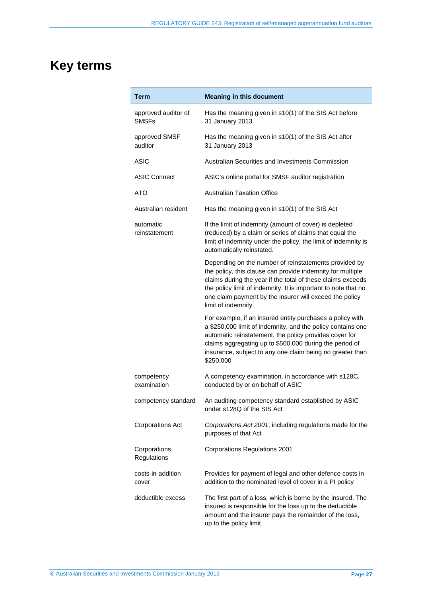# <span id="page-26-0"></span>**Key terms**

| Term                                | <b>Meaning in this document</b>                                                                                                                                                                                                                                                                                                        |
|-------------------------------------|----------------------------------------------------------------------------------------------------------------------------------------------------------------------------------------------------------------------------------------------------------------------------------------------------------------------------------------|
| approved auditor of<br><b>SMSFs</b> | Has the meaning given in s10(1) of the SIS Act before<br>31 January 2013                                                                                                                                                                                                                                                               |
| approved SMSF<br>auditor            | Has the meaning given in s10(1) of the SIS Act after<br>31 January 2013                                                                                                                                                                                                                                                                |
| ASIC                                | Australian Securities and Investments Commission                                                                                                                                                                                                                                                                                       |
| <b>ASIC Connect</b>                 | ASIC's online portal for SMSF auditor registration                                                                                                                                                                                                                                                                                     |
| ATO                                 | <b>Australian Taxation Office</b>                                                                                                                                                                                                                                                                                                      |
| Australian resident                 | Has the meaning given in s10(1) of the SIS Act                                                                                                                                                                                                                                                                                         |
| automatic<br>reinstatement          | If the limit of indemnity (amount of cover) is depleted<br>(reduced) by a claim or series of claims that equal the<br>limit of indemnity under the policy, the limit of indemnity is<br>automatically reinstated.                                                                                                                      |
|                                     | Depending on the number of reinstatements provided by<br>the policy, this clause can provide indemnity for multiple<br>claims during the year if the total of these claims exceeds<br>the policy limit of indemnity. It is important to note that no<br>one claim payment by the insurer will exceed the policy<br>limit of indemnity. |
|                                     | For example, if an insured entity purchases a policy with<br>a \$250,000 limit of indemnity, and the policy contains one<br>automatic reinstatement, the policy provides cover for<br>claims aggregating up to \$500,000 during the period of<br>insurance, subject to any one claim being no greater than<br>\$250,000                |
| competency<br>examination           | A competency examination, in accordance with s128C,<br>conducted by or on behalf of ASIC                                                                                                                                                                                                                                               |
| competency standard                 | An auditing competency standard established by ASIC<br>under s128Q of the SIS Act                                                                                                                                                                                                                                                      |
| <b>Corporations Act</b>             | Corporations Act 2001, including regulations made for the<br>purposes of that Act                                                                                                                                                                                                                                                      |
| Corporations<br>Regulations         | <b>Corporations Regulations 2001</b>                                                                                                                                                                                                                                                                                                   |
| costs-in-addition<br>cover          | Provides for payment of legal and other defence costs in<br>addition to the nominated level of cover in a PI policy                                                                                                                                                                                                                    |
| deductible excess                   | The first part of a loss, which is borne by the insured. The<br>insured is responsible for the loss up to the deductible<br>amount and the insurer pays the remainder of the loss,<br>up to the policy limit                                                                                                                           |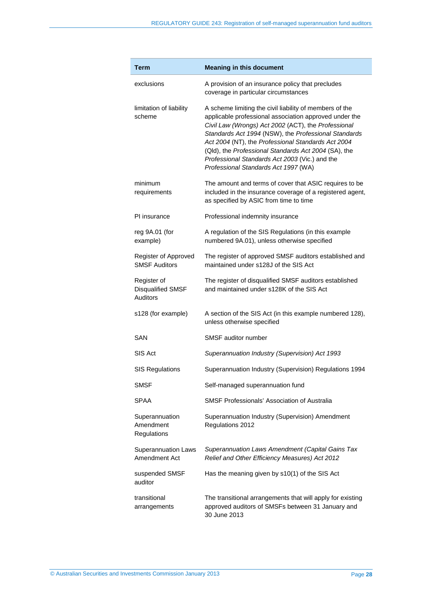| Term                                         | <b>Meaning in this document</b>                                                                                                                                                                                                                                                                                                                                                                                                          |
|----------------------------------------------|------------------------------------------------------------------------------------------------------------------------------------------------------------------------------------------------------------------------------------------------------------------------------------------------------------------------------------------------------------------------------------------------------------------------------------------|
| exclusions                                   | A provision of an insurance policy that precludes<br>coverage in particular circumstances                                                                                                                                                                                                                                                                                                                                                |
| limitation of liability<br>scheme            | A scheme limiting the civil liability of members of the<br>applicable professional association approved under the<br>Civil Law (Wrongs) Act 2002 (ACT), the Professional<br>Standards Act 1994 (NSW), the Professional Standards<br>Act 2004 (NT), the Professional Standards Act 2004<br>(Qld), the Professional Standards Act 2004 (SA), the<br>Professional Standards Act 2003 (Vic.) and the<br>Professional Standards Act 1997 (WA) |
| minimum<br>requirements                      | The amount and terms of cover that ASIC requires to be<br>included in the insurance coverage of a registered agent,<br>as specified by ASIC from time to time                                                                                                                                                                                                                                                                            |
| PI insurance                                 | Professional indemnity insurance                                                                                                                                                                                                                                                                                                                                                                                                         |
| reg 9A.01 (for<br>example)                   | A regulation of the SIS Regulations (in this example<br>numbered 9A.01), unless otherwise specified                                                                                                                                                                                                                                                                                                                                      |
| Register of Approved<br><b>SMSF Auditors</b> | The register of approved SMSF auditors established and<br>maintained under s128J of the SIS Act                                                                                                                                                                                                                                                                                                                                          |
| Register of<br>Disqualified SMSF<br>Auditors | The register of disqualified SMSF auditors established<br>and maintained under s128K of the SIS Act                                                                                                                                                                                                                                                                                                                                      |
| s128 (for example)                           | A section of the SIS Act (in this example numbered 128),<br>unless otherwise specified                                                                                                                                                                                                                                                                                                                                                   |
| SAN                                          | SMSF auditor number                                                                                                                                                                                                                                                                                                                                                                                                                      |
| SIS Act                                      | Superannuation Industry (Supervision) Act 1993                                                                                                                                                                                                                                                                                                                                                                                           |
| <b>SIS Regulations</b>                       | Superannuation Industry (Supervision) Regulations 1994                                                                                                                                                                                                                                                                                                                                                                                   |
| <b>SMSF</b>                                  | Self-managed superannuation fund                                                                                                                                                                                                                                                                                                                                                                                                         |
| <b>SPAA</b>                                  | <b>SMSF Professionals' Association of Australia</b>                                                                                                                                                                                                                                                                                                                                                                                      |
| Superannuation<br>Amendment<br>Regulations   | Superannuation Industry (Supervision) Amendment<br>Regulations 2012                                                                                                                                                                                                                                                                                                                                                                      |
| <b>Superannuation Laws</b><br>Amendment Act  | Superannuation Laws Amendment (Capital Gains Tax<br>Relief and Other Efficiency Measures) Act 2012                                                                                                                                                                                                                                                                                                                                       |
| suspended SMSF<br>auditor                    | Has the meaning given by s10(1) of the SIS Act                                                                                                                                                                                                                                                                                                                                                                                           |
| transitional<br>arrangements                 | The transitional arrangements that will apply for existing<br>approved auditors of SMSFs between 31 January and<br>30 June 2013                                                                                                                                                                                                                                                                                                          |